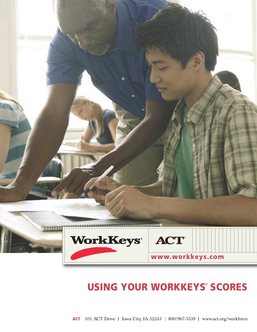

# **Using YoUr WorkkeYs**® **sCores**

**ACT** 101 ACT Drive | Iowa City, IA 52243 | 800/967-5539 | www.act.org/workforce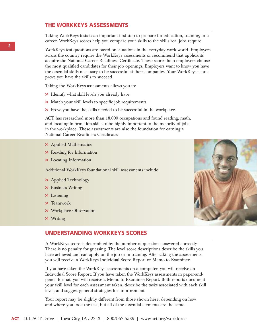#### **The WorkkeYs AssessmenTs**

Taking WorkKeys tests is an important first step to prepare for education, training, or a career. WorkKeys scores help you compare your skills to the skills real jobs require.

WorkKeys test questions are based on situations in the everyday work world. Employers across the country require the WorkKeys assessments or recommend that applicants acquire the National Career Readiness Certificate. These scores help employers choose the most qualified candidates for their job openings. Employers want to know you have the essential skills necessary to be successful at their companies. Your WorkKeys scores prove you have the skills to succeed.

Taking the WorkKeys assessments allows you to:

- **>>** Identify what skill levels you already have.
- **>>** Match your skill levels to specific job requirements.
- **>>** Prove you have the skills needed to be successful in the workplace.

ACT has researched more than 18,000 occupations and found reading, math, and locating information skills to be highly important to the majority of jobs in the workplace. These assessments are also the foundation for earning a National Career Readiness Certificate:

- **>>** Applied Mathematics
- **>>** Reading for Information
- **>>** Locating Information

Additional WorkKeys foundational skill assessments include:

- **>>** Applied Technology
- **>>** Business Writing
- **>>** Listening
- **>>** Teamwork
- **>>** Workplace Observation
- **>>** Writing



#### **UndersTAnding WorkkeYs sCores**

A WorkKeys score is determined by the number of questions answered correctly. There is no penalty for guessing. The level score descriptions describe the skills you have achieved and can apply on the job or in training. After taking the assessments, you will receive a WorkKeys Individual Score Report or Memo to Examinee.

If you have taken the WorkKeys assessments on a computer, you will receive an Individual Score Report. If you have taken the WorkKeys assessments in paper-andpencil format, you will receive a Memo to Examinee Report. Both reports document your skill level for each assessment taken, describe the tasks associated with each skill level, and suggest general strategies for improvement.

Your report may be slightly different from those shown here, depending on how and where you took the test, but all of the essential elements are the same.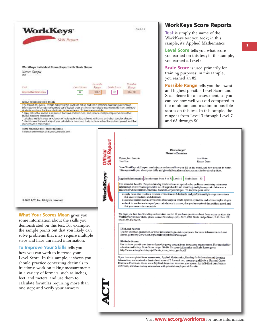

**3**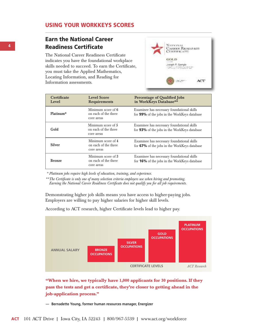## **Using YoUr WorkkeYs sCores**

# **earn the national Career readiness Certificate**

The National Career Readiness Certificate indicates you have the foundational workplace skills needed to succeed. To earn the Certificate, you must take the Applied Mathematics, Locating Information, and Reading for Information assessments.



| <b>Certificate</b><br>Level | <b>Level Score</b><br><b>Requirements</b>                | <b>Percentage of Qualified Jobs</b><br>in WorkKeys Database**                              |  |
|-----------------------------|----------------------------------------------------------|--------------------------------------------------------------------------------------------|--|
| Platinum*                   | Minimum score of 6<br>on each of the three<br>core areas | Examinee has necessary foundational skills<br>for 99% of the jobs in the WorkKeys database |  |
| Gold                        | Minimum score of 5<br>on each of the three<br>core areas | Examinee has necessary foundational skills<br>for 93% of the jobs in the WorkKeys database |  |
| <b>Silver</b>               | Minimum score of 4<br>on each of the three<br>core areas | Examinee has necessary foundational skills<br>for 67% of the jobs in the WorkKeys database |  |
| <b>Bronze</b>               | Minimum score of 3<br>on each of the three<br>core areas | Examinee has necessary foundational skills<br>for 16% of the jobs in the WorkKeys database |  |

*\* Platinum jobs require high levels of education, training, and experience.*

*\*\*The Certificate is only one of many selection criteria employers use when hiring and promoting. Earning the National Career Readiness Certificate does not qualify you for all job requirements.*

Demonstrating higher job skills means you have access to higher-paying jobs. Employers are willing to pay higher salaries for higher skill levels.

According to ACT research, higher Certificate levels lead to higher pay.



**"When we hire, we typically have 1,000 applicants for 30 positions. If they pass the tests and get a certificate, they're closer to getting ahead in the job-application process."**

**— Bernadette Young, former human resources manager, Energizer**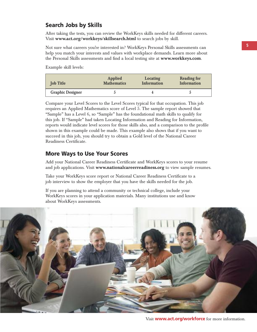# **search Jobs by skills**

After taking the tests, you can review the WorkKeys skills needed for different careers. Visit **www.act.org/workkeys/skillsearch.html** to search jobs by skill.

Not sure what careers you're interested in? WorkKeys Personal Skills assessments can help you match your interests and values with workplace demands. Learn more about the Personal Skills assessments and find a local testing site at **www.workkeys.com**.

Example skill levels:

| <b>Job Title</b>        | Applied            | Locating           | <b>Reading for</b> |
|-------------------------|--------------------|--------------------|--------------------|
|                         | <b>Mathematics</b> | <b>Information</b> | Information        |
| <b>Graphic Designer</b> |                    |                    |                    |

Compare your Level Scores to the Level Scores typical for that occupation. This job requires an Applied Mathematics score of Level 5. The sample report showed that "Sample" has a Level 6, so "Sample" has the foundational math skills to qualify for this job. If "Sample" had taken Locating Information and Reading for Information, reports would indicate level scores for those skills also, and a comparison to the profile shown in this example could be made. This example also shows that if you want to succeed in this job, you should try to obtain a Gold level of the National Career Readiness Certificate.

### **more Ways to Use Your scores**

Add your National Career Readiness Certificate and WorkKeys scores to your resume and job applications. Visit **www.nationalcareerreadiness.org** to view sample resumes.

Take your WorkKeys score report or National Career Readiness Certificate to a job interview to show the employer that you have the skills needed for the job.

If you are planning to attend a community or technical college, include your WorkKeys scores in your application materials. Many institutions use and know about WorkKeys assessments.

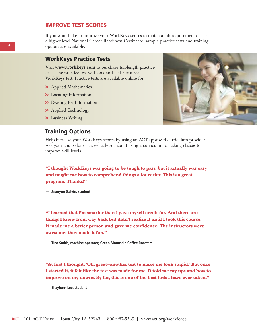#### **imProve TesT sCores**

If you would like to improve your WorkKeys scores to match a job requirement or earn a higher-level National Career Readiness Certificate, sample practice tests and training options are available.

#### **Workkeys Practice Tests**

Visit **www.workkeys.com** to purchase full-length practice tests. The practice test will look and feel like a real WorkKeys test. Practice tests are available online for:

- **>>** Applied Mathematics
- **>>** Locating Information
- **>>** Reading for Information
- **>>** Applied Technology
- **>>** Business Writing

#### **Training options**

Help increase your WorkKeys scores by using an ACT-approved curriculum provider. Ask your counselor or career advisor about using a curriculum or taking classes to improve skill levels.

**"I thought WorkKeys was going to be tough to pass, but it actually was easy and taught me how to comprehend things a lot easier. This is a great program. Thanks!"**

**— Jasmyne Galvin, student**

**"I learned that I'm smarter than I gave myself credit for. And there are things I knew from way back but didn't realize it until I took this course. It made me a better person and gave me confidence. The instructors were awesome; they made it fun."**

**— Tina Smith, machine operator, Green Mountain Coffee Roasters**

**"At first I thought, 'Oh, great—another test to make me look stupid.' But once I started it, it felt like the test was made for me. It told me my ups and how to improve on my downs. By far, this is one of the best tests I have ever taken."**

**— Shaylunn Lee, student**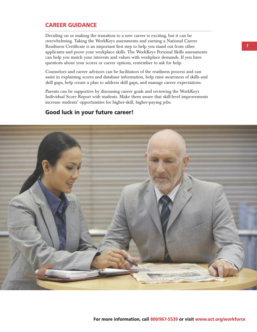# **CAreer gUidAnCe**

Deciding on or making the transition to a new career is exciting, but it can be overwhelming. Taking the WorkKeys assessments and earning a National Career Readiness Certificate is an important first step to help you stand out from other applicants and prove your workplace skills. The WorkKeys Personal Skills assessments can help you match your interests and values with workplace demands. If you have questions about your scores or career options, remember to ask for help.

Counselors and career advisors can be facilitators of the readiness process and can assist in explaining scores and database information, help raise awareness of skills and skill gaps, help create a plan to address skill gaps, and manage career expectations.

Parents can be supportive by discussing career goals and reviewing the WorkKeys Individual Score Report with students. Make them aware that skill-level improvements increase students' opportunities for higher-skill, higher-paying jobs.

# **good luck in your future career!**